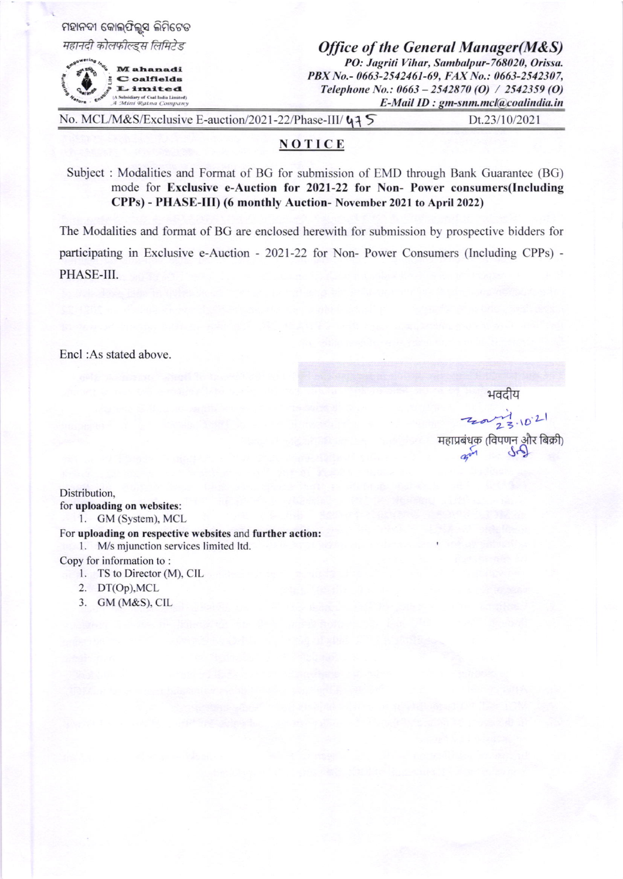| ମହାନଦୀ କୋଲ୍ଫିଲ୍ଡସ ଲିମିଟେଡ<br>महानदी कोलफील्ड्स लिमिटेड<br>M ahanadi<br>C oalfields<br>Limited<br>(A Subsidiary of Coal India Limited)<br>A Mini Ratna Company |  | <b>Office of the General Manager(M&amp;S)</b><br>PO: Jagriti Vihar, Sambalpur-768020, Orissa.<br>PBX No.- 0663-2542461-69, FAX No.: 0663-2542307,<br>Telephone No.: $0663 - 2542870$ (O) / 2542359 (O)<br>E-Mail ID : gm-snm.mcl@coalindia.in |  |
|---------------------------------------------------------------------------------------------------------------------------------------------------------------|--|-----------------------------------------------------------------------------------------------------------------------------------------------------------------------------------------------------------------------------------------------|--|
| No. MCL/M&S/Exclusive E-auction/2021-22/Phase-III/ 47 5                                                                                                       |  | Dt.23/10/2021                                                                                                                                                                                                                                 |  |

## NOTICE

Subject : Modalities and Format of BG for submission of EMD through Bank Guarantee (BG) mode for Exclusive e-Auction for 2021-22 for Non- Power consumers(Including CPPs) - PHASE-IID (6 monthly Auction- November 2021 to April 2022)

The Modalities and format of BG are enclosed herewith for submission by prospective bidders for participating in Exclusive e-Auction - 2021-22 for Non- Power Consumers (Including CPPs) -PHASE-III.

Encl :As stated above.

भवदीय

 $720 - 73.1021$ महाप्रबंधक (विपणन और बिक्री)

Distribution, for uploading on websites: l. GM (System), MCL

For uploading on respective websites and further action: 1. M/s mjunction services limited ltd.

Copy for information to :

- l. TS to Director (M), CIL
- 2. DT(op),MCL
- 3. GM (M&S), CIL